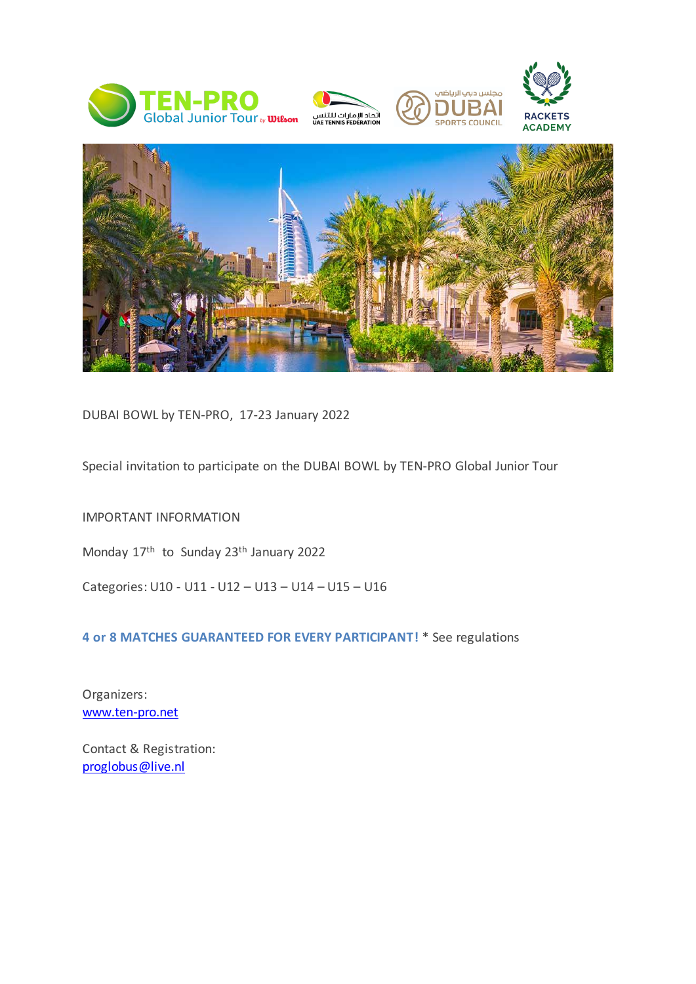







DUBAI BOWL by TEN-PRO, 17-23 January 2022

Special invitation to participate on the DUBAI BOWL by TEN-PRO Global Junior Tour

IMPORTANT INFORMATION

Monday 17<sup>th</sup> to Sunday 23<sup>th</sup> January 2022

Categories: U10 - U11 - U12 – U13 – U14 – U15 – U16

**4 or 8 MATCHES GUARANTEED FOR EVERY PARTICIPANT!** \* See regulations

Organizers: [www.ten-pro.net](http://www.ten-pro.net/)

Contact & Registration: [proglobus@live.nl](mailto:proglobus@live.nl)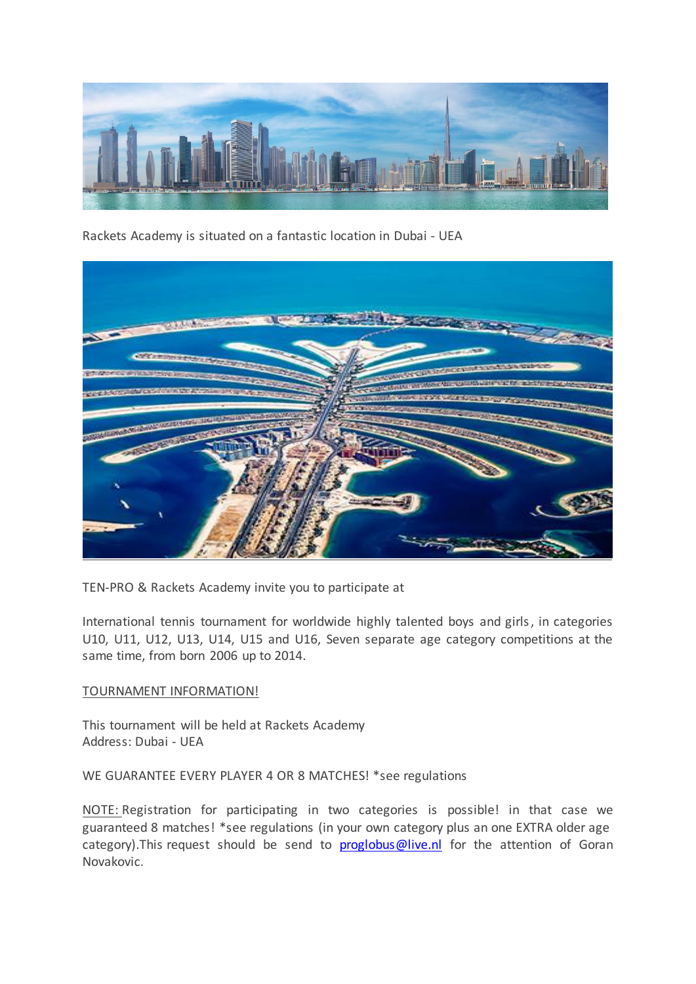

Rackets Academy is situated on a fantastic location in Dubai - UEA



TEN-PRO & Rackets Academy invite you to participate at

International tennis tournament for worldwide highly talented boys and girls, in categories U10, U11, U12, U13, U14, U15 and U16, Seven separate age category competitions at the same time, from born 2006 up to 2014.

#### TOURNAMENT INFORMATION!

This tournament will be held at Rackets Academy Address: Dubai - UEA

WE GUARANTEE EVERY PLAYER 4 OR 8 MATCHES! \*see regulations

NOTE: Registration for participating in two categories is possible! in that case we guaranteed 8 matches! \*see regulations (in your own category plus an one EXTRA older age category). This request should be send to [proglobus@live.nl](mailto:proglobus@live.nl) for the attention of Goran Novakovic.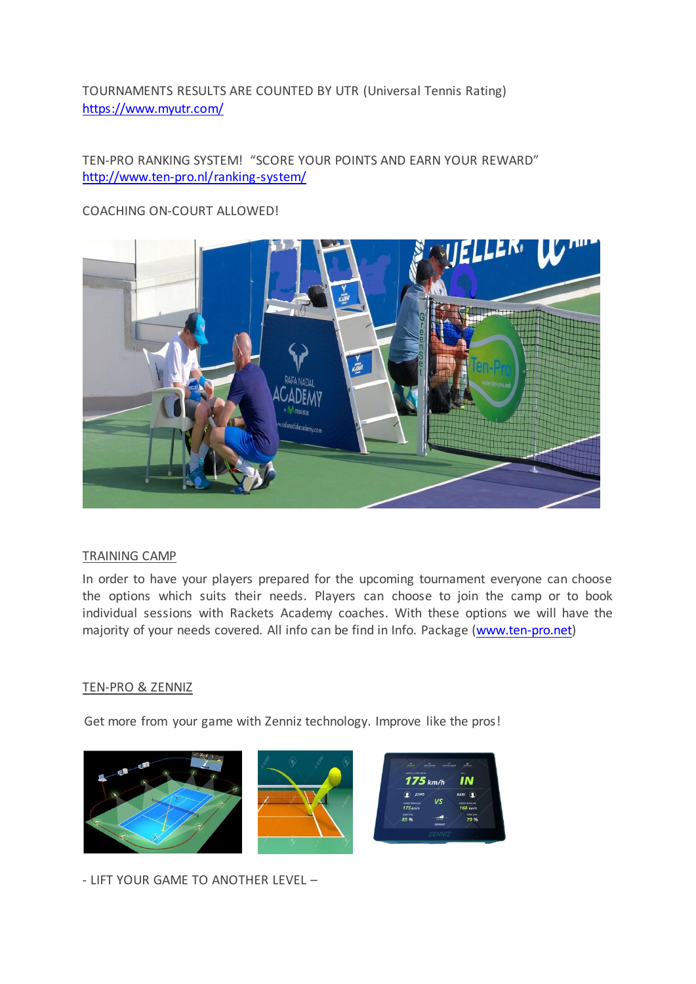TOURNAMENTS RESULTS ARE COUNTED BY UTR (Universal Tennis Rating) <https://www.myutr.com/>

# TEN-PRO RANKING SYSTEM! "SCORE YOUR POINTS AND EARN YOUR REWARD" <http://www.ten-pro.nl/ranking-system/>

## COACHING ON-COURT ALLOWED!



#### TRAINING CAMP

In order to have your players prepared for the upcoming tournament everyone can choose the options which suits their needs. Players can choose to join the camp or to book individual sessions with Rackets Academy coaches. With these options we will have the majority of your needs covered. All info can be find in Info. Package [\(www.ten-pro.net\)](http://www.ten-pro.net/)

#### TEN-PRO & ZENNIZ

Get more from your game with Zenniz technology. Improve like the pros!



- LIFT YOUR GAME TO ANOTHER LEVEL –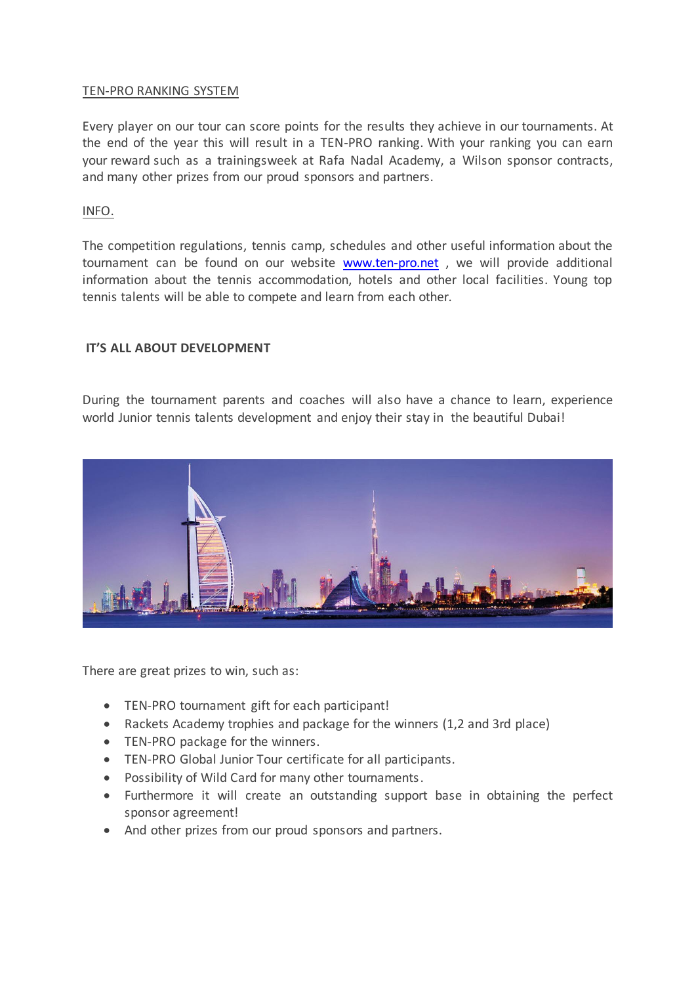### TEN-PRO RANKING SYSTEM

Every player on our tour can score points for the results they achieve in our tournaments. At the end of the year this will result in a TEN-PRO ranking. With your ranking you can earn your reward such as a trainingsweek at Rafa Nadal Academy, a Wilson sponsor contracts, and many other prizes from our proud sponsors and partners.

INFO.

The competition regulations, tennis camp, schedules and other useful information about the tournament can be found on our website [www.ten-pro.net](http://www.ten-pro.net/) , we will provide additional information about the tennis accommodation, hotels and other local facilities. Young top tennis talents will be able to compete and learn from each other.

### **IT'S ALL ABOUT DEVELOPMENT**

During the tournament parents and coaches will also have a chance to learn, experience world Junior tennis talents development and enjoy their stay in the beautiful Dubai!



There are great prizes to win, such as:

- TEN-PRO tournament gift for each participant!
- Rackets Academy trophies and package for the winners (1,2 and 3rd place)
- TEN-PRO package for the winners.
- TEN-PRO Global Junior Tour certificate for all participants.
- Possibility of Wild Card for many other tournaments.
- Furthermore it will create an outstanding support base in obtaining the perfect sponsor agreement!
- And other prizes from our proud sponsors and partners.